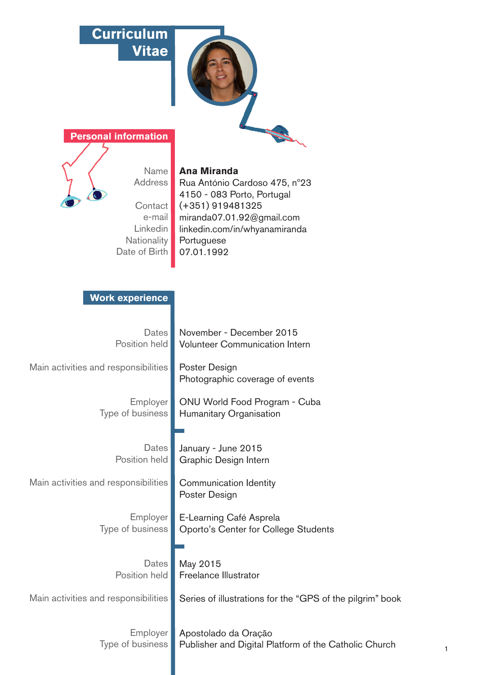# **Curriculum Vitae**





Name Address Contact e-mail Linkedin **Nationality** Date of Birth

# **Ana Miranda**

Rua António Cardoso 475, nº23 4150 - 083 Porto, Portugal (+351) 919481325 miranda07.01.92@gmail.com linkedin.com/in/whyanamiranda Portuguese 07.01.1992

November - December 2015 Volunteer Communication Intern

Photographic coverage of events

ONU World Food Program - Cuba

Humanitary Organisation

January - June 2015 Graphic Design Intern

Poster Design

May 2015

Freelance Illustrator

Communication Identity

Poster Design

# **Work experience**

**Dates** Position held

Main activities and responsibilities

Employer Type of business

> **Dates** Position held

Main activities and responsibilities

Employer Type of business

E-Learning Café Asprela Oporto's Center for College Students

Dates<sup>|</sup> Position held

Main activities and responsibilities

Series of illustrations for the "GPS of the pilgrim" book

Employer Type of business

Apostolado da Oração Publisher and Digital Platform of the Catholic Church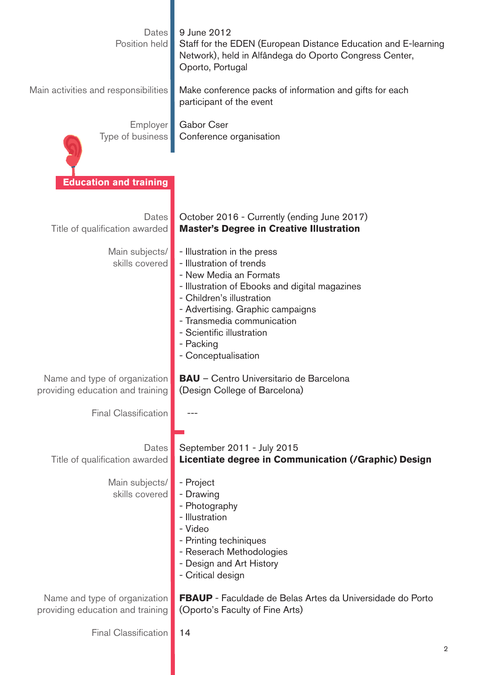| Dates<br>Position held<br>Main activities and responsibilities | 9 June 2012<br>Staff for the EDEN (European Distance Education and E-learning<br>Network), held in Alfândega do Oporto Congress Center,<br>Oporto, Portugal<br>Make conference packs of information and gifts for each<br>participant of the event                                                  |
|----------------------------------------------------------------|-----------------------------------------------------------------------------------------------------------------------------------------------------------------------------------------------------------------------------------------------------------------------------------------------------|
| Employer                                                       | Gabor Cser                                                                                                                                                                                                                                                                                          |
| Type of business                                               | Conference organisation                                                                                                                                                                                                                                                                             |
| <b>Education and training</b>                                  |                                                                                                                                                                                                                                                                                                     |
| Dates                                                          | October 2016 - Currently (ending June 2017)                                                                                                                                                                                                                                                         |
| Title of qualification awarded                                 | <b>Master's Degree in Creative Illustration</b>                                                                                                                                                                                                                                                     |
| Main subjects/<br>skills covered                               | - Illustration in the press<br>- Illustration of trends<br>- New Media an Formats<br>- Illustration of Ebooks and digital magazines<br>- Children's illustration<br>- Advertising. Graphic campaigns<br>- Transmedia communication<br>- Scientific illustration<br>- Packing<br>- Conceptualisation |
| Name and type of organization                                  | <b>BAU</b> - Centro Universitario de Barcelona                                                                                                                                                                                                                                                      |
| providing education and training                               | (Design College of Barcelona)                                                                                                                                                                                                                                                                       |
| <b>Final Classification</b>                                    |                                                                                                                                                                                                                                                                                                     |
| <b>Dates</b>                                                   | September 2011 - July 2015                                                                                                                                                                                                                                                                          |
| Title of qualification awarded                                 | Licentiate degree in Communication (/Graphic) Design                                                                                                                                                                                                                                                |
| Main subjects/<br>skills covered                               | - Project<br>- Drawing<br>- Photography<br>- Illustration<br>- Video<br>- Printing techiniques<br>- Reserach Methodologies<br>- Design and Art History<br>- Critical design                                                                                                                         |
| Name and type of organization                                  | <b>FBAUP</b> - Faculdade de Belas Artes da Universidade do Porto                                                                                                                                                                                                                                    |
| providing education and training                               | (Oporto's Faculty of Fine Arts)                                                                                                                                                                                                                                                                     |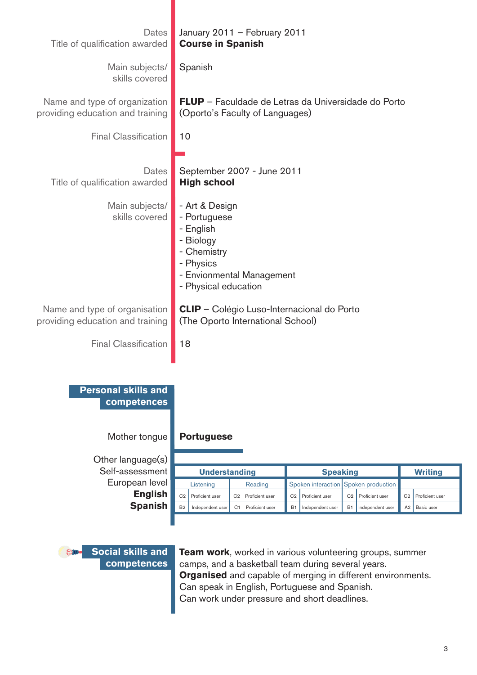| Dates<br>Title of qualification awarded                                         | January 2011 - February 2011<br><b>Course in Spanish</b>                                                                |                                                                                   |                                   |
|---------------------------------------------------------------------------------|-------------------------------------------------------------------------------------------------------------------------|-----------------------------------------------------------------------------------|-----------------------------------|
| Main subjects/<br>skills covered                                                | Spanish                                                                                                                 |                                                                                   |                                   |
| Name and type of organization<br>providing education and training               | (Oporto's Faculty of Languages)                                                                                         | <b>FLUP</b> - Faculdade de Letras da Universidade do Porto                        |                                   |
| <b>Final Classification</b>                                                     | 10                                                                                                                      |                                                                                   |                                   |
| <b>Dates</b><br>Title of qualification awarded<br>Main subjects/                | September 2007 - June 2011<br><b>High school</b><br>- Art & Design                                                      |                                                                                   |                                   |
| skills covered                                                                  | - Portuguese<br>- English<br>- Biology<br>- Chemistry<br>- Physics<br>- Envionmental Management<br>- Physical education |                                                                                   |                                   |
| Name and type of organisation<br>providing education and training               | <b>CLIP</b> - Colégio Luso-Internacional do Porto<br>(The Oporto International School)                                  |                                                                                   |                                   |
| <b>Final Classification</b>                                                     | 18                                                                                                                      |                                                                                   |                                   |
| <b>Personal skills and</b><br>competences<br>Mother tongue<br>Other language(s) | <b>Portuguese</b>                                                                                                       |                                                                                   |                                   |
| Self-assessment                                                                 | <b>Understanding</b>                                                                                                    | <b>Speaking</b>                                                                   | <b>Writing</b>                    |
| European level                                                                  | Listening<br>Reading                                                                                                    | Spoken interaction<br>Spoken production                                           |                                   |
| <b>English</b>                                                                  | C <sub>2</sub><br>Proficient user<br>C <sub>2</sub><br>Proficient user                                                  | C <sub>2</sub><br>Proficient user<br>C <sub>2</sub><br>Proficient user            | C <sub>2</sub><br>Proficient user |
| <b>Spanish</b>                                                                  | <b>B2</b><br>Independent user<br>C <sub>1</sub><br>Proficient user                                                      | <b>B1</b><br><b>B1</b><br>Independent user<br>Independent user                    | A <sub>2</sub><br>Basic user      |
| $\Leftrightarrow$                                                               |                                                                                                                         | <b>Social skills and</b> Team work, worked in various volunteering groups, summer |                                   |

**competences**

**Team work**, worked in various volunteering groups, summer camps, and a basketball team during several years. **Organised** and capable of merging in different environments. Can speak in English, Portuguese and Spanish. Can work under pressure and short deadlines.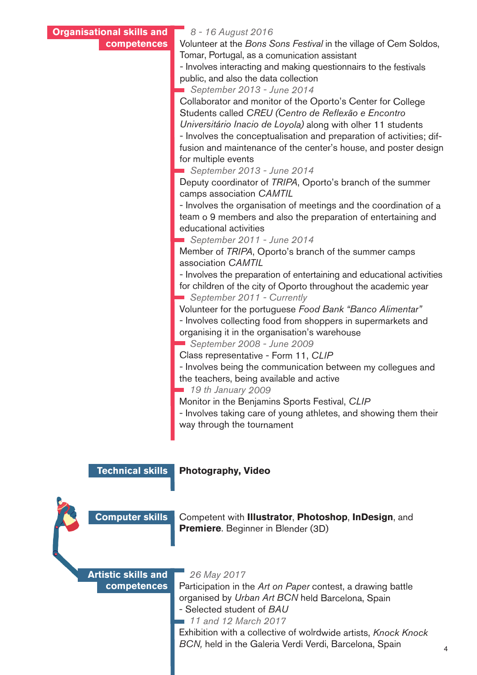| <b>Organisational skills and</b> | 8 - 16 August 2016                                                                                        |
|----------------------------------|-----------------------------------------------------------------------------------------------------------|
| competences                      | Volunteer at the Bons Sons Festival in the village of Cem Soldos,                                         |
|                                  | Tomar, Portugal, as a comunication assistant                                                              |
|                                  | - Involves interacting and making questionnairs to the festivals                                          |
|                                  | public, and also the data collection                                                                      |
|                                  | September 2013 - June 2014                                                                                |
|                                  | Collaborator and monitor of the Oporto's Center for College                                               |
|                                  | Students called CREU (Centro de Reflexão e Encontro                                                       |
|                                  | Universitário Inacio de Loyola) along with olher 11 students                                              |
|                                  | - Involves the conceptualisation and preparation of activities; dif-                                      |
|                                  | fusion and maintenance of the center's house, and poster design                                           |
|                                  | for multiple events                                                                                       |
|                                  | September 2013 - June 2014                                                                                |
|                                  | Deputy coordinator of TRIPA, Oporto's branch of the summer                                                |
|                                  | camps association CAMTIL                                                                                  |
|                                  | - Involves the organisation of meetings and the coordination of a                                         |
|                                  | team o 9 members and also the preparation of entertaining and                                             |
|                                  | educational activities                                                                                    |
|                                  | September 2011 - June 2014                                                                                |
|                                  | Member of TRIPA, Oporto's branch of the summer camps                                                      |
|                                  | association CAMTIL                                                                                        |
|                                  | - Involves the preparation of entertaining and educational activities                                     |
|                                  | for children of the city of Oporto throughout the academic year                                           |
|                                  | September 2011 - Currently                                                                                |
|                                  | Volunteer for the portuguese Food Bank "Banco Alimentar"                                                  |
|                                  | - Involves collecting food from shoppers in supermarkets and                                              |
|                                  | organising it in the organisation's warehouse                                                             |
|                                  | September 2008 - June 2009                                                                                |
|                                  | Class representative - Form 11, CLIP                                                                      |
|                                  | - Involves being the communication between my collegues and                                               |
|                                  | the teachers, being available and active                                                                  |
|                                  | 19 th January 2009                                                                                        |
|                                  | Monitor in the Benjamins Sports Festival, CLIP                                                            |
|                                  | المنطق ويتماسط والمستحل والمستنقص والمستحل والملقوم والمستحل والمستحل والمستحل والمستحل والمستحل والمستحل |

- Involves taking care of young athletes, and showing them their way through the tournament

#### **Technical skills**

**Photography, Video**

**Computer skills**

Competent with **Illustrator**, **Photoshop**, **InDesign**, and **Premiere**. Beginner in Blender (3D)

## **Artistic skills and competences**

 *26 May 2017*

Participation in the *Art on Paper* contest, a drawing battle organised by *Urban Art BCN* held Barcelona, Spain - Selected student of *BAU*

 *11 and 12 March 2017*

Exhibition with a collective of wolrdwide artists, *Knock Knock BCN,* held in the Galeria Verdi Verdi, Barcelona, Spain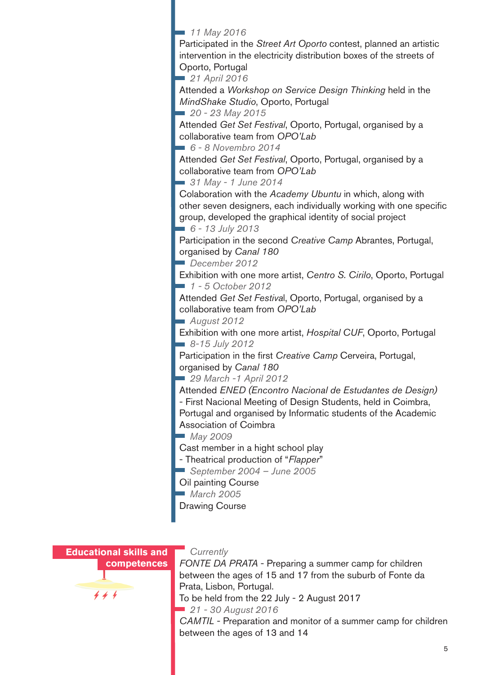*11 May 2016*

Participated in the *Street Art Oporto* contest, planned an artistic intervention in the electricity distribution boxes of the streets of Oporto, Portugal

 *21 April 2016*

Attended a *Workshop on Service Design Thinking* held in the *MindShake Studio*, Oporto, Portugal

 *20 - 23 May 2015*

Attended *Get Set Festival*, Oporto, Portugal, organised by a collaborative team from *OPO'Lab*

 *6 - 8 Novembro 2014*

Attended *Get Set Festival*, Oporto, Portugal, organised by a collaborative team from *OPO'Lab* 

 *31 May - 1 June 2014*

Colaboration with the *Academy Ubuntu* in which, along with other seven designers, each individually working with one specific group, developed the graphical identity of social project  *6 - 13 July 2013*

Participation in the second *Creative Camp* Abrantes, Portugal, organised by *Canal 180*

 *December 2012*

Exhibition with one more artist, *Centro S. Cirilo*, Oporto, Portugal  *1 - 5 October 2012*

Attended *Get Set Festiva*l, Oporto, Portugal, organised by a collaborative team from *OPO'Lab* 

 *August 2012*

Exhibition with one more artist, *Hospital CUF*, Oporto, Portugal  *8-15 July 2012*

Participation in the first *Creative Camp* Cerveira, Portugal, organised by *Canal 180*

 *29 March -1 April 2012*

Attended *ENED (Encontro Nacional de Estudantes de Design)* 

- First Nacional Meeting of Design Students, held in Coimbra, Portugal and organised by Informatic students of the Academic Association of Coimbra

 *May 2009*

Cast member in a hight school play

- Theatrical production of "*Flapper*"
- *September 2004 June 2005*

Oil painting Course

 *March 2005*

Drawing Course



**competences**  $444$ 

### *Currently*

*FONTE DA PRATA* - Preparing a summer camp for children between the ages of 15 and 17 from the suburb of Fonte da Prata, Lisbon, Portugal.

To be held from the 22 July - 2 August 2017

 *21 - 30 August 2016*

*CAMTIL* - Preparation and monitor of a summer camp for children between the ages of 13 and 14